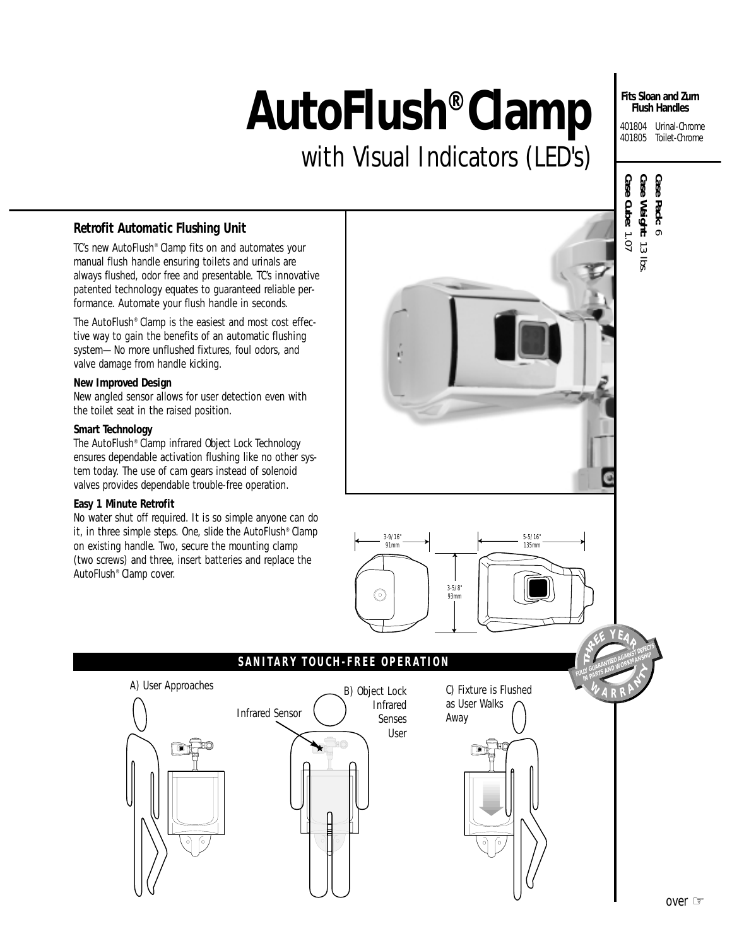# **AutoFlush® Clamp**

with Visual Indicators (LED's)

#### **Fits Sloan and Zurn Flush Handles**

401804 Urinal-Chrome 401805 Toilet-Chrome

# *Retrofit Automatic Flushing Unit*

TC's new AutoFlush® Clamp fits on and automates your manual flush handle ensuring toilets and urinals are always flushed, odor free and presentable. TC's innovative patented technology equates to guaranteed reliable performance. Automate your flush handle in seconds.

The AutoFlush® Clamp is the easiest and most cost effective way to gain the benefits of an automatic flushing system—No more unflushed fixtures, foul odors, and valve damage from handle kicking.

#### **New Improved Design**

New angled sensor allows for user detection even with the toilet seat in the raised position.

#### **Smart Technology**

The AutoFlush® Clamp infrared *Object Lock Technology* ensures dependable activation flushing like no other system today. The use of cam gears instead of solenoid valves provides dependable trouble-free operation.

#### **Easy 1 Minute Retrofit**

No water shut off required. It is so simple anyone can do it, in three simple steps. One, slide the AutoFlush® Clamp on existing handle. Two, secure the mounting clamp (two screws) and three, insert batteries and replace the AutoFlush® Clamp cover.





## **SANITARY TOUCH-FREE OPERATION**



C) Fixture is Flushed as User Walks Away



**IN GUARANTEED AGAINST AVERY** 

**WA RRAN** 

**T**